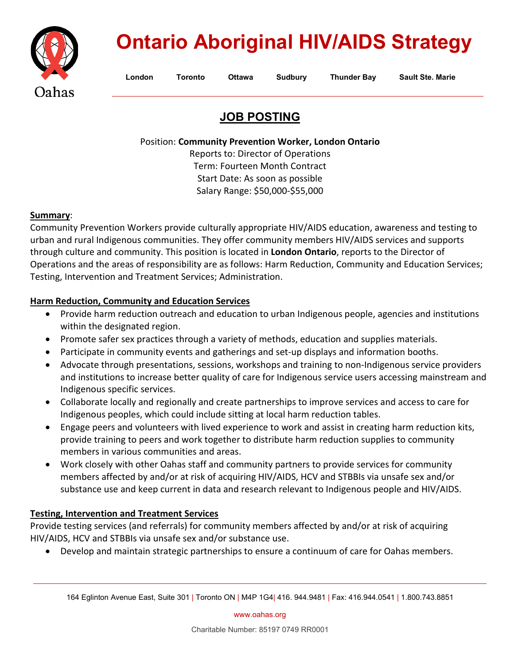

# **Ontario Aboriginal HIV/AIDS Strategy**

**London Toronto Ottawa Sudbury Thunder Bay Sault Ste. Marie**

## **JOB POSTING**

Position: **Community Prevention Worker, London Ontario**

Reports to: Director of Operations Term: Fourteen Month Contract Start Date: As soon as possible Salary Range: \$50,000-\$55,000

## **Summary**:

Community Prevention Workers provide culturally appropriate HIV/AIDS education, awareness and testing to urban and rural Indigenous communities. They offer community members HIV/AIDS services and supports through culture and community. This position is located in **London Ontario**, reports to the Director of Operations and the areas of responsibility are as follows: Harm Reduction, Community and Education Services; Testing, Intervention and Treatment Services; Administration.

## **Harm Reduction, Community and Education Services**

- Provide harm reduction outreach and education to urban Indigenous people, agencies and institutions within the designated region.
- Promote safer sex practices through a variety of methods, education and supplies materials.
- Participate in community events and gatherings and set-up displays and information booths.
- Advocate through presentations, sessions, workshops and training to non-Indigenous service providers and institutions to increase better quality of care for Indigenous service users accessing mainstream and Indigenous specific services.
- Collaborate locally and regionally and create partnerships to improve services and access to care for Indigenous peoples, which could include sitting at local harm reduction tables.
- Engage peers and volunteers with lived experience to work and assist in creating harm reduction kits, provide training to peers and work together to distribute harm reduction supplies to community members in various communities and areas.
- Work closely with other Oahas staff and community partners to provide services for community members affected by and/or at risk of acquiring HIV/AIDS, HCV and STBBIs via unsafe sex and/or substance use and keep current in data and research relevant to Indigenous people and HIV/AIDS.

## **Testing, Intervention and Treatment Services**

Provide testing services (and referrals) for community members affected by and/or at risk of acquiring HIV/AIDS, HCV and STBBIs via unsafe sex and/or substance use.

• Develop and maintain strategic partnerships to ensure a continuum of care for Oahas members.

[www.oahas.org](http://www.oahas.org/)